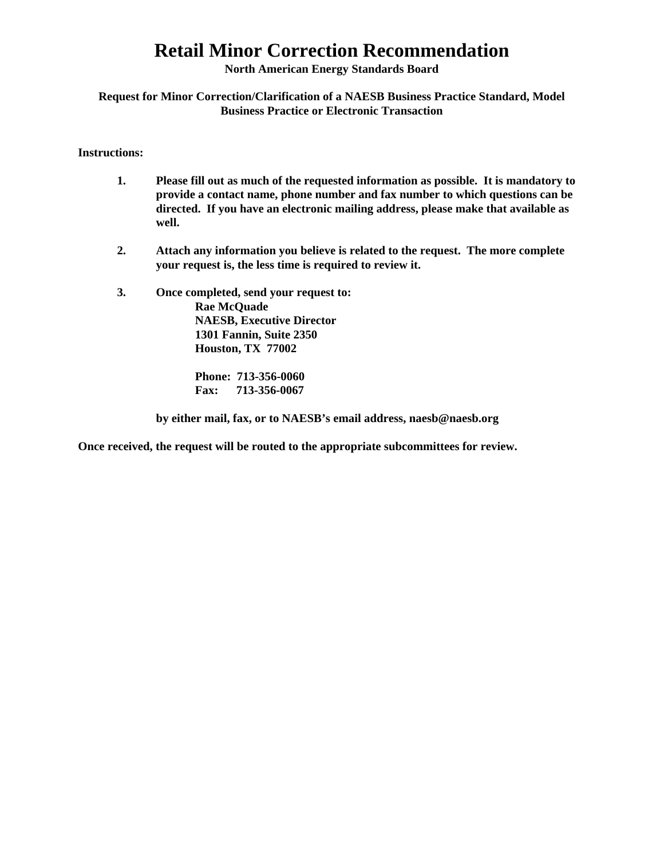**North American Energy Standards Board** 

**Request for Minor Correction/Clarification of a NAESB Business Practice Standard, Model Business Practice or Electronic Transaction** 

**Instructions:** 

- **1. Please fill out as much of the requested information as possible. It is mandatory to provide a contact name, phone number and fax number to which questions can be directed. If you have an electronic mailing address, please make that available as well.**
- **2. Attach any information you believe is related to the request. The more complete your request is, the less time is required to review it.**
- **3. Once completed, send your request to: Rae McQuade NAESB, Executive Director 1301 Fannin, Suite 2350 Houston, TX 77002**

 **Phone: 713-356-0060 Fax: 713-356-0067** 

 **by either mail, fax, or to NAESB's email address, naesb@naesb.org** 

**Once received, the request will be routed to the appropriate subcommittees for review.**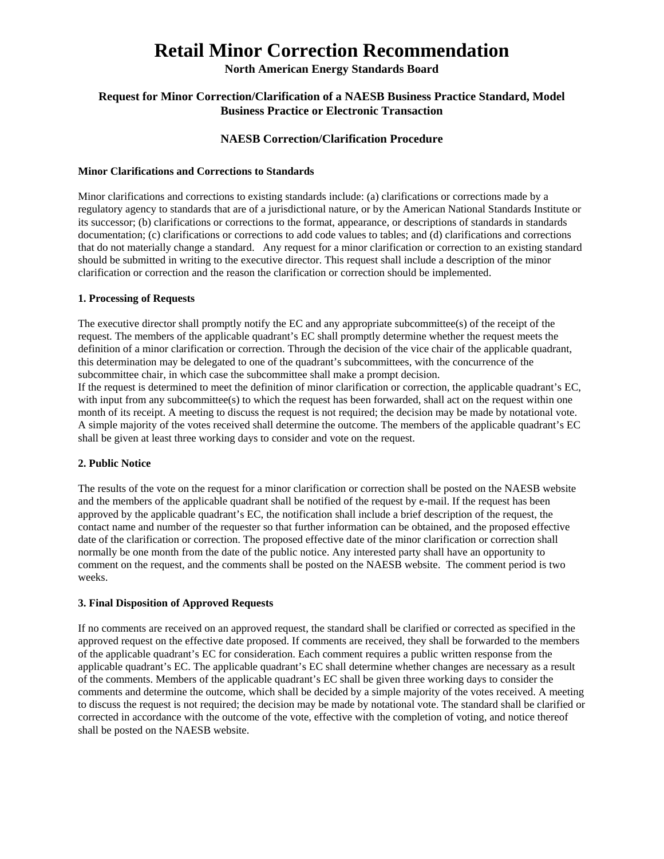#### **North American Energy Standards Board**

#### **Request for Minor Correction/Clarification of a NAESB Business Practice Standard, Model Business Practice or Electronic Transaction**

#### **NAESB Correction/Clarification Procedure**

#### **Minor Clarifications and Corrections to Standards**

Minor clarifications and corrections to existing standards include: (a) clarifications or corrections made by a regulatory agency to standards that are of a jurisdictional nature, or by the American National Standards Institute or its successor; (b) clarifications or corrections to the format, appearance, or descriptions of standards in standards documentation; (c) clarifications or corrections to add code values to tables; and (d) clarifications and corrections that do not materially change a standard. Any request for a minor clarification or correction to an existing standard should be submitted in writing to the executive director. This request shall include a description of the minor clarification or correction and the reason the clarification or correction should be implemented.

#### **1. Processing of Requests**

The executive director shall promptly notify the EC and any appropriate subcommittee(s) of the receipt of the request. The members of the applicable quadrant's EC shall promptly determine whether the request meets the definition of a minor clarification or correction. Through the decision of the vice chair of the applicable quadrant, this determination may be delegated to one of the quadrant's subcommittees, with the concurrence of the subcommittee chair, in which case the subcommittee shall make a prompt decision.

If the request is determined to meet the definition of minor clarification or correction, the applicable quadrant's EC, with input from any subcommittee(s) to which the request has been forwarded, shall act on the request within one month of its receipt. A meeting to discuss the request is not required; the decision may be made by notational vote. A simple majority of the votes received shall determine the outcome. The members of the applicable quadrant's EC shall be given at least three working days to consider and vote on the request.

#### **2. Public Notice**

The results of the vote on the request for a minor clarification or correction shall be posted on the NAESB website and the members of the applicable quadrant shall be notified of the request by e-mail. If the request has been approved by the applicable quadrant's EC, the notification shall include a brief description of the request, the contact name and number of the requester so that further information can be obtained, and the proposed effective date of the clarification or correction. The proposed effective date of the minor clarification or correction shall normally be one month from the date of the public notice. Any interested party shall have an opportunity to comment on the request, and the comments shall be posted on the NAESB website. The comment period is two weeks.

#### **3. Final Disposition of Approved Requests**

If no comments are received on an approved request, the standard shall be clarified or corrected as specified in the approved request on the effective date proposed. If comments are received, they shall be forwarded to the members of the applicable quadrant's EC for consideration. Each comment requires a public written response from the applicable quadrant's EC. The applicable quadrant's EC shall determine whether changes are necessary as a result of the comments. Members of the applicable quadrant's EC shall be given three working days to consider the comments and determine the outcome, which shall be decided by a simple majority of the votes received. A meeting to discuss the request is not required; the decision may be made by notational vote. The standard shall be clarified or corrected in accordance with the outcome of the vote, effective with the completion of voting, and notice thereof shall be posted on the NAESB website.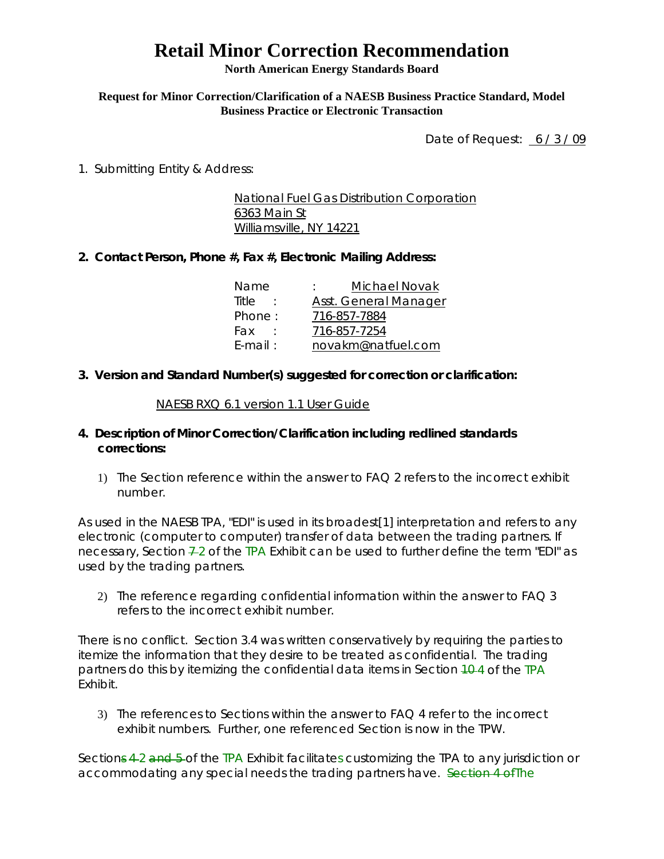**North American Energy Standards Board** 

### **Request for Minor Correction/Clarification of a NAESB Business Practice Standard, Model Business Practice or Electronic Transaction**

Date of Request: 6/3/09

1. Submitting Entity & Address:

National Fuel Gas Distribution Corporation 6363 Main St Williamsville, NY 14221

## **2. Contact Person, Phone #, Fax #, Electronic Mailing Address:**

| Michael Novak                |
|------------------------------|
| <b>Asst. General Manager</b> |
| 716-857-7884                 |
| 716-857-7254                 |
| novakm@natfuel.com           |
|                              |

**3. Version and Standard Number(s) suggested for correction or clarification:** 

### NAESB RXQ 6.1 version 1.1 User Guide

## **4. Description of Minor Correction/Clarification including redlined standards corrections:**

1) The Section reference within the answer to FAQ 2 refers to the incorrect exhibit number.

As used in the NAESB TPA, "EDI" is used in its broadest[1] interpretation and refers to any electronic (computer to computer) transfer of data between the trading partners. If necessary, Section  $\frac{1}{2}$  of the TPA Exhibit can be used to further define the term "EDI" as used by the trading partners.

2) The reference regarding confidential information within the answer to FAQ 3 refers to the incorrect exhibit number.

There is no conflict. Section 3.4 was written conservatively by requiring the parties to itemize the information that they desire to be treated as confidential. The trading partners do this by itemizing the confidential data items in Section  $10-4$  of the TPA Exhibit.

3) The references to Sections within the answer to FAQ 4 refer to the incorrect exhibit numbers. Further, one referenced Section is now in the TPW.

Sections 4-2 and 5-of the TPA Exhibit facilitates customizing the TPA to any jurisdiction or accommodating any special needs the trading partners have. Section 4 of The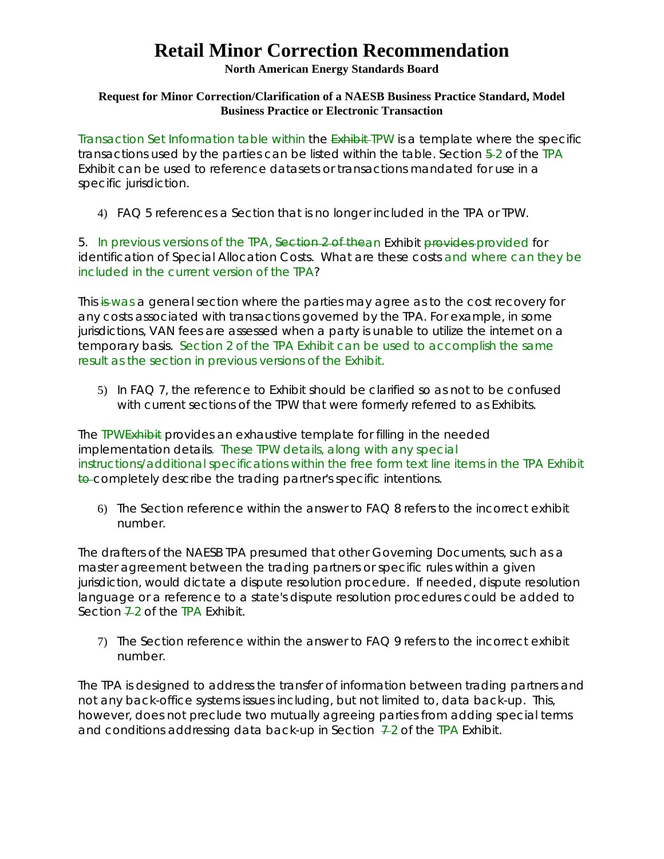### **North American Energy Standards Board**

### **Request for Minor Correction/Clarification of a NAESB Business Practice Standard, Model Business Practice or Electronic Transaction**

Transaction Set Information table within the **Exhibit-TPW** is a template where the specific transactions used by the parties can be listed within the table. Section  $\frac{5}{2}$  of the TPA Exhibit can be used to reference datasets or transactions mandated for use in a specific jurisdiction.

4) FAQ 5 references a Section that is no longer included in the TPA or TPW.

5. In previous versions of the TPA, Section 2 of thean Exhibit provides provided for identification of Special Allocation Costs. What are these costs and where can they be included in the current version of the TPA?

This is was a general section where the parties may agree as to the cost recovery for any costs associated with transactions governed by the TPA. For example, in some jurisdictions, VAN fees are assessed when a party is unable to utilize the internet on a temporary basis. Section 2 of the TPA Exhibit can be used to accomplish the same result as the section in previous versions of the Exhibit.

5) In FAQ 7, the reference to Exhibit should be clarified so as not to be confused with current sections of the TPW that were formerly referred to as Exhibits.

The TPWExhibit provides an exhaustive template for filling in the needed implementation details. These TPW details, along with any special instructions/additional specifications within the free form text line items in the TPA Exhibit to completely describe the trading partner's specific intentions.

6) The Section reference within the answer to FAQ 8 refers to the incorrect exhibit number.

The drafters of the NAESB TPA presumed that other Governing Documents, such as a master agreement between the trading partners or specific rules within a given jurisdiction, would dictate a dispute resolution procedure. If needed, dispute resolution language or a reference to a state's dispute resolution procedures could be added to Section  $\overline{22}$  of the TPA Exhibit.

7) The Section reference within the answer to FAQ 9 refers to the incorrect exhibit number.

The TPA is designed to address the transfer of information between trading partners and not any back-office systems issues including, but not limited to, data back-up. This, however, does not preclude two mutually agreeing parties from adding special terms and conditions addressing data back-up in Section  $-2$  of the TPA Exhibit.